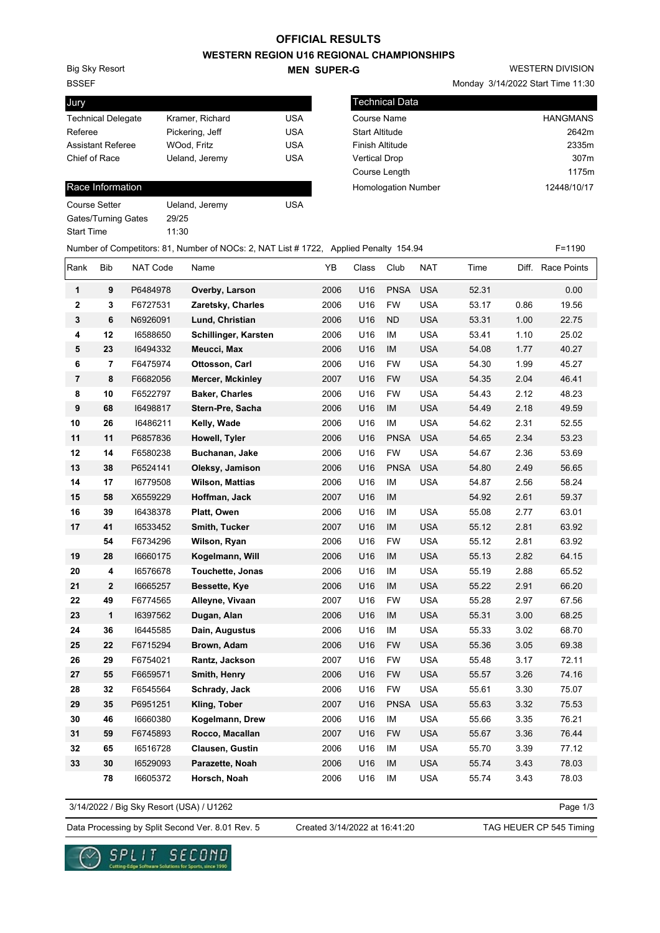### **OFFICIAL RESULTS**

**WESTERN REGION U16 REGIONAL CHAMPIONSHIPS**

BSSEF Big Sky Resort

Jury

#### **MEN SUPER-G**

WESTERN DIVISION

Monday 3/14/2022 Start Time 11:30

| Jury                      |                 |            | <b>Technical Data</b>      |                 |
|---------------------------|-----------------|------------|----------------------------|-----------------|
| <b>Technical Delegate</b> | Kramer, Richard | <b>USA</b> | Course Name                | <b>HANGMANS</b> |
| Referee                   | Pickering, Jeff | <b>USA</b> | <b>Start Altitude</b>      | 2642m           |
| <b>Assistant Referee</b>  | WOod. Fritz     | USA        | Finish Altitude            | 2335m           |
| Chief of Race             | Ueland, Jeremy  | <b>USA</b> | <b>Vertical Drop</b>       | 307m            |
|                           |                 |            | Course Length              | 1175m           |
| Race Information          |                 |            | <b>Homologation Number</b> | 12448/10/17     |

| Referee                  | Pickering, Jeff | USA |
|--------------------------|-----------------|-----|
| <b>Assistant Referee</b> | WOod, Fritz     | USA |
| Chief of Race            | Ueland, Jeremy  | USA |
|                          |                 |     |
| Race Information         |                 |     |

| Course Setter       | Ueland, Jeremy | USA |
|---------------------|----------------|-----|
| Gates/Turning Gates | 29/25          |     |
| Start Time          | 11:30          |     |

|                |            |          | Number of Competitors: 81, Number of NOCs: 2, NAT List # 1722, Applied Penalty 154.94 |      |       |             |            |       |      | $F = 1190$        |
|----------------|------------|----------|---------------------------------------------------------------------------------------|------|-------|-------------|------------|-------|------|-------------------|
| Rank           | <b>Bib</b> | NAT Code | Name                                                                                  | YB   | Class | Club        | <b>NAT</b> | Time  |      | Diff. Race Points |
| $\mathbf{1}$   | 9          | P6484978 | Overby, Larson                                                                        | 2006 | U16   | <b>PNSA</b> | <b>USA</b> | 52.31 |      | 0.00              |
| $\mathbf 2$    | 3          | F6727531 | Zaretsky, Charles                                                                     | 2006 | U16   | <b>FW</b>   | <b>USA</b> | 53.17 | 0.86 | 19.56             |
| $\mathbf 3$    | 6          | N6926091 | Lund, Christian                                                                       | 2006 | U16   | <b>ND</b>   | <b>USA</b> | 53.31 | 1.00 | 22.75             |
| 4              | 12         | 16588650 | Schillinger, Karsten                                                                  | 2006 | U16   | IM          | <b>USA</b> | 53.41 | 1.10 | 25.02             |
| ${\bf 5}$      | 23         | 16494332 | Meucci, Max                                                                           | 2006 | U16   | IM          | <b>USA</b> | 54.08 | 1.77 | 40.27             |
| 6              | 7          | F6475974 | Ottosson, Carl                                                                        | 2006 | U16   | <b>FW</b>   | <b>USA</b> | 54.30 | 1.99 | 45.27             |
| $\overline{7}$ | 8          | F6682056 | Mercer, Mckinley                                                                      | 2007 | U16   | <b>FW</b>   | <b>USA</b> | 54.35 | 2.04 | 46.41             |
| 8              | 10         | F6522797 | <b>Baker, Charles</b>                                                                 | 2006 | U16   | <b>FW</b>   | <b>USA</b> | 54.43 | 2.12 | 48.23             |
| 9              | 68         | 16498817 | Stern-Pre, Sacha                                                                      | 2006 | U16   | IM          | <b>USA</b> | 54.49 | 2.18 | 49.59             |
| 10             | 26         | 16486211 | Kelly, Wade                                                                           | 2006 | U16   | IM          | <b>USA</b> | 54.62 | 2.31 | 52.55             |
| 11             | 11         | P6857836 | Howell, Tyler                                                                         | 2006 | U16   | <b>PNSA</b> | <b>USA</b> | 54.65 | 2.34 | 53.23             |
| 12             | 14         | F6580238 | Buchanan, Jake                                                                        | 2006 | U16   | <b>FW</b>   | <b>USA</b> | 54.67 | 2.36 | 53.69             |
| 13             | 38         | P6524141 | Oleksy, Jamison                                                                       | 2006 | U16   | <b>PNSA</b> | <b>USA</b> | 54.80 | 2.49 | 56.65             |
| 14             | 17         | 16779508 | <b>Wilson, Mattias</b>                                                                | 2006 | U16   | IM          | <b>USA</b> | 54.87 | 2.56 | 58.24             |
| 15             | 58         | X6559229 | Hoffman, Jack                                                                         | 2007 | U16   | IM          |            | 54.92 | 2.61 | 59.37             |
| 16             | 39         | 16438378 | Platt, Owen                                                                           | 2006 | U16   | IM          | <b>USA</b> | 55.08 | 2.77 | 63.01             |
| 17             | 41         | 16533452 | Smith, Tucker                                                                         | 2007 | U16   | IM          | <b>USA</b> | 55.12 | 2.81 | 63.92             |
|                | 54         | F6734296 | Wilson, Ryan                                                                          | 2006 | U16   | <b>FW</b>   | <b>USA</b> | 55.12 | 2.81 | 63.92             |
| 19             | 28         | 16660175 | Kogelmann, Will                                                                       | 2006 | U16   | IM          | <b>USA</b> | 55.13 | 2.82 | 64.15             |
| 20             | 4          | 16576678 | Touchette, Jonas                                                                      | 2006 | U16   | IM          | <b>USA</b> | 55.19 | 2.88 | 65.52             |
| 21             | 2          | 16665257 | Bessette, Kye                                                                         | 2006 | U16   | IM          | <b>USA</b> | 55.22 | 2.91 | 66.20             |
| 22             | 49         | F6774565 | Alleyne, Vivaan                                                                       | 2007 | U16   | <b>FW</b>   | <b>USA</b> | 55.28 | 2.97 | 67.56             |
| 23             | 1          | 16397562 | Dugan, Alan                                                                           | 2006 | U16   | IM          | <b>USA</b> | 55.31 | 3.00 | 68.25             |
| 24             | 36         | 16445585 | Dain, Augustus                                                                        | 2006 | U16   | IM          | <b>USA</b> | 55.33 | 3.02 | 68.70             |
| 25             | 22         | F6715294 | Brown, Adam                                                                           | 2006 | U16   | <b>FW</b>   | <b>USA</b> | 55.36 | 3.05 | 69.38             |
| 26             | 29         | F6754021 | Rantz, Jackson                                                                        | 2007 | U16   | <b>FW</b>   | <b>USA</b> | 55.48 | 3.17 | 72.11             |
| 27             | 55         | F6659571 | Smith, Henry                                                                          | 2006 | U16   | <b>FW</b>   | <b>USA</b> | 55.57 | 3.26 | 74.16             |
| 28             | 32         | F6545564 | Schrady, Jack                                                                         | 2006 | U16   | <b>FW</b>   | <b>USA</b> | 55.61 | 3.30 | 75.07             |
| 29             | 35         | P6951251 | Kling, Tober                                                                          | 2007 | U16   | <b>PNSA</b> | <b>USA</b> | 55.63 | 3.32 | 75.53             |
| 30             | 46         | 16660380 | Kogelmann, Drew                                                                       | 2006 | U16   | IM          | <b>USA</b> | 55.66 | 3.35 | 76.21             |
| 31             | 59         | F6745893 | Rocco, Macallan                                                                       | 2007 | U16   | <b>FW</b>   | <b>USA</b> | 55.67 | 3.36 | 76.44             |
| 32             | 65         | 16516728 | Clausen, Gustin                                                                       | 2006 | U16   | IM          | <b>USA</b> | 55.70 | 3.39 | 77.12             |
| 33             | 30         | 16529093 | Parazette, Noah                                                                       | 2006 | U16   | IM          | <b>USA</b> | 55.74 | 3.43 | 78.03             |
|                | 78         | 16605372 | Horsch, Noah                                                                          | 2006 | U16   | IM          | <b>USA</b> | 55.74 | 3.43 | 78.03             |

3/14/2022 / Big Sky Resort (USA) / U1262

Page 1/3

Data Processing by Split Second Ver. 8.01 Rev. 5 Created 3/14/2022 at 16:41:20 TAG HEUER CP 545 Timing

Created 3/14/2022 at 16:41:20

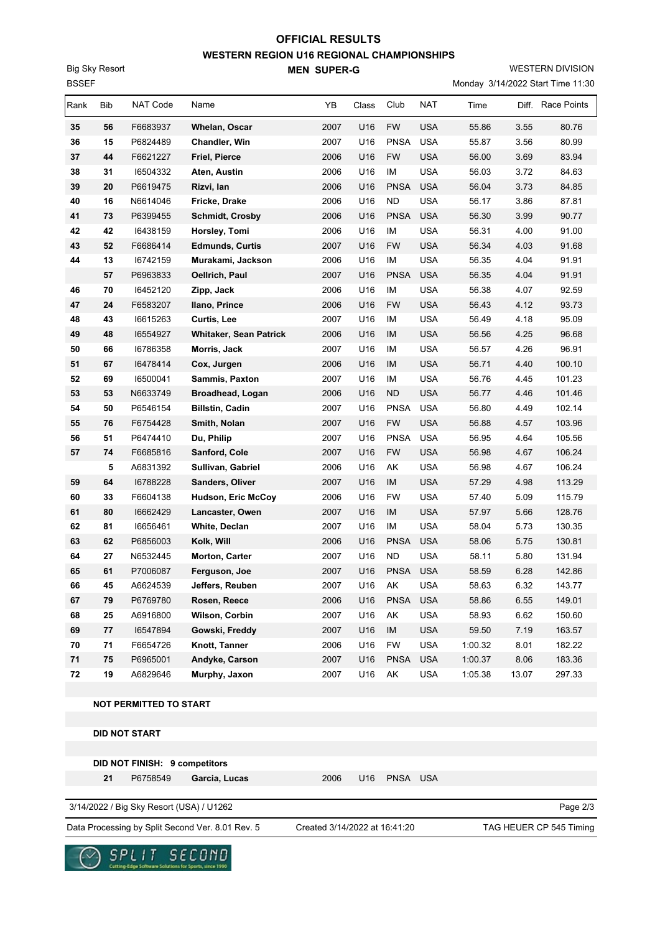# **WESTERN REGION U16 REGIONAL CHAMPIONSHIPS MEN SUPER-G OFFICIAL RESULTS**

WESTERN DIVISION

Monday 3/14/2022 Start Time 11:30

| ספס  |            |                                          |                               |      |       |             |            |         |       | MONDAY 3/14/2022 Start Time TT.30 |
|------|------------|------------------------------------------|-------------------------------|------|-------|-------------|------------|---------|-------|-----------------------------------|
| Rank | <b>Bib</b> | NAT Code                                 | Name                          | YB   | Class | Club        | <b>NAT</b> | Time    |       | Diff. Race Points                 |
| 35   | 56         | F6683937                                 | Whelan, Oscar                 | 2007 | U16   | <b>FW</b>   | <b>USA</b> | 55.86   | 3.55  | 80.76                             |
| 36   | 15         | P6824489                                 | <b>Chandler, Win</b>          | 2007 | U16   | <b>PNSA</b> | <b>USA</b> | 55.87   | 3.56  | 80.99                             |
| 37   | 44         | F6621227                                 | <b>Friel, Pierce</b>          | 2006 | U16   | <b>FW</b>   | <b>USA</b> | 56.00   | 3.69  | 83.94                             |
| 38   | 31         | 16504332                                 | Aten, Austin                  | 2006 | U16   | IM          | <b>USA</b> | 56.03   | 3.72  | 84.63                             |
| 39   | 20         | P6619475                                 | Rizvi, lan                    | 2006 | U16   | <b>PNSA</b> | <b>USA</b> | 56.04   | 3.73  | 84.85                             |
| 40   | 16         | N6614046                                 | Fricke, Drake                 | 2006 | U16   | <b>ND</b>   | <b>USA</b> | 56.17   | 3.86  | 87.81                             |
| 41   | 73         | P6399455                                 | <b>Schmidt, Crosby</b>        | 2006 | U16   | <b>PNSA</b> | <b>USA</b> | 56.30   | 3.99  | 90.77                             |
| 42   | 42         | 16438159                                 | Horsley, Tomi                 | 2006 | U16   | IM          | <b>USA</b> | 56.31   | 4.00  | 91.00                             |
| 43   | 52         | F6686414                                 | <b>Edmunds, Curtis</b>        | 2007 | U16   | <b>FW</b>   | <b>USA</b> | 56.34   | 4.03  | 91.68                             |
| 44   | 13         | 16742159                                 | Murakami, Jackson             | 2006 | U16   | IM          | <b>USA</b> | 56.35   | 4.04  | 91.91                             |
|      | 57         | P6963833                                 | Oellrich, Paul                | 2007 | U16   | <b>PNSA</b> | <b>USA</b> | 56.35   | 4.04  | 91.91                             |
| 46   | 70         | 16452120                                 | Zipp, Jack                    | 2006 | U16   | IM          | <b>USA</b> | 56.38   | 4.07  | 92.59                             |
| 47   | 24         | F6583207                                 | Ilano, Prince                 | 2006 | U16   | <b>FW</b>   | <b>USA</b> | 56.43   | 4.12  | 93.73                             |
| 48   | 43         | 16615263                                 | Curtis, Lee                   | 2007 | U16   | ΙM          | <b>USA</b> | 56.49   | 4.18  | 95.09                             |
| 49   | 48         | 16554927                                 | <b>Whitaker, Sean Patrick</b> | 2006 | U16   | IM          | <b>USA</b> | 56.56   | 4.25  | 96.68                             |
| 50   | 66         | 16786358                                 | Morris, Jack                  | 2007 | U16   | IM          | <b>USA</b> | 56.57   | 4.26  | 96.91                             |
| 51   | 67         | 16478414                                 | Cox, Jurgen                   | 2006 | U16   | IM          | <b>USA</b> | 56.71   | 4.40  | 100.10                            |
| 52   | 69         | 16500041                                 | Sammis, Paxton                | 2007 | U16   | IM          | <b>USA</b> | 56.76   | 4.45  | 101.23                            |
| 53   | 53         | N6633749                                 | Broadhead, Logan              | 2006 | U16   | <b>ND</b>   | <b>USA</b> | 56.77   | 4.46  | 101.46                            |
| 54   | 50         | P6546154                                 | <b>Billstin, Cadin</b>        | 2007 | U16   | <b>PNSA</b> | <b>USA</b> | 56.80   | 4.49  | 102.14                            |
| 55   | 76         | F6754428                                 | Smith, Nolan                  | 2007 | U16   | <b>FW</b>   | <b>USA</b> | 56.88   | 4.57  | 103.96                            |
| 56   | 51         | P6474410                                 | Du, Philip                    | 2007 | U16   | <b>PNSA</b> | <b>USA</b> | 56.95   | 4.64  | 105.56                            |
| 57   | 74         | F6685816                                 | Sanford, Cole                 | 2007 | U16   | <b>FW</b>   | <b>USA</b> | 56.98   | 4.67  | 106.24                            |
|      | 5          | A6831392                                 | Sullivan, Gabriel             | 2006 | U16   | AK          | <b>USA</b> | 56.98   | 4.67  | 106.24                            |
| 59   | 64         | 16788228                                 | <b>Sanders, Oliver</b>        | 2007 | U16   | IM          | <b>USA</b> | 57.29   | 4.98  | 113.29                            |
| 60   | 33         | F6604138                                 | <b>Hudson, Eric McCoy</b>     | 2006 | U16   | <b>FW</b>   | <b>USA</b> | 57.40   | 5.09  | 115.79                            |
| 61   | 80         | 16662429                                 | Lancaster, Owen               | 2007 | U16   | IM          | <b>USA</b> | 57.97   | 5.66  | 128.76                            |
| 62   | 81         | 16656461                                 | White, Declan                 | 2007 | U16   | IM          | <b>USA</b> | 58.04   | 5.73  | 130.35                            |
| 63   | 62         | P6856003                                 | Kolk, Will                    | 2006 | U16   | <b>PNSA</b> | <b>USA</b> | 58.06   | 5.75  | 130.81                            |
| 64   | 27         | N6532445                                 | Morton, Carter                | 2007 | U16   | <b>ND</b>   | <b>USA</b> | 58.11   | 5.80  | 131.94                            |
| 65   | 61         | P7006087                                 | Ferguson, Joe                 | 2007 | U16   | <b>PNSA</b> | <b>USA</b> | 58.59   | 6.28  | 142.86                            |
| 66   | 45         | A6624539                                 | Jeffers, Reuben               | 2007 | U16   | AK          | <b>USA</b> | 58.63   | 6.32  | 143.77                            |
| 67   | 79         | P6769780                                 | Rosen, Reece                  | 2006 | U16   | <b>PNSA</b> | <b>USA</b> | 58.86   | 6.55  | 149.01                            |
| 68   | 25         | A6916800                                 | Wilson, Corbin                | 2007 | U16   | AK          | <b>USA</b> | 58.93   | 6.62  | 150.60                            |
| 69   | 77         | 16547894                                 | Gowski, Freddy                | 2007 | U16   | IM          | <b>USA</b> | 59.50   | 7.19  | 163.57                            |
| 70   | 71         | F6654726                                 | Knott, Tanner                 | 2006 | U16   | <b>FW</b>   | <b>USA</b> | 1:00.32 | 8.01  | 182.22                            |
| 71   | 75         | P6965001                                 | Andyke, Carson                | 2007 | U16   | <b>PNSA</b> | <b>USA</b> | 1:00.37 | 8.06  | 183.36                            |
| 72   | 19         | A6829646                                 | Murphy, Jaxon                 | 2007 | U16   | AK          | <b>USA</b> | 1:05.38 | 13.07 | 297.33                            |
|      |            | NOT PERMITTED TO START                   |                               |      |       |             |            |         |       |                                   |
|      |            |                                          |                               |      |       |             |            |         |       |                                   |
|      |            | <b>DID NOT START</b>                     |                               |      |       |             |            |         |       |                                   |
|      |            | DID NOT FINISH: 9 competitors            |                               |      |       |             |            |         |       |                                   |
|      | 21         | P6758549                                 | Garcia, Lucas                 | 2006 | U16   | <b>PNSA</b> | <b>USA</b> |         |       |                                   |
|      |            |                                          |                               |      |       |             |            |         |       |                                   |
|      |            | 3/14/2022 / Big Sky Resort (USA) / U1262 |                               |      |       |             |            |         |       | Page 2/3                          |

Data Processing by Split Second Ver. 8.01 Rev. 5 Created 3/14/2022 at 16:41:20 TAG HEUER CP 545 Timing

Created 3/14/2022 at 16:41:20



BSSEF Big Sky Resort